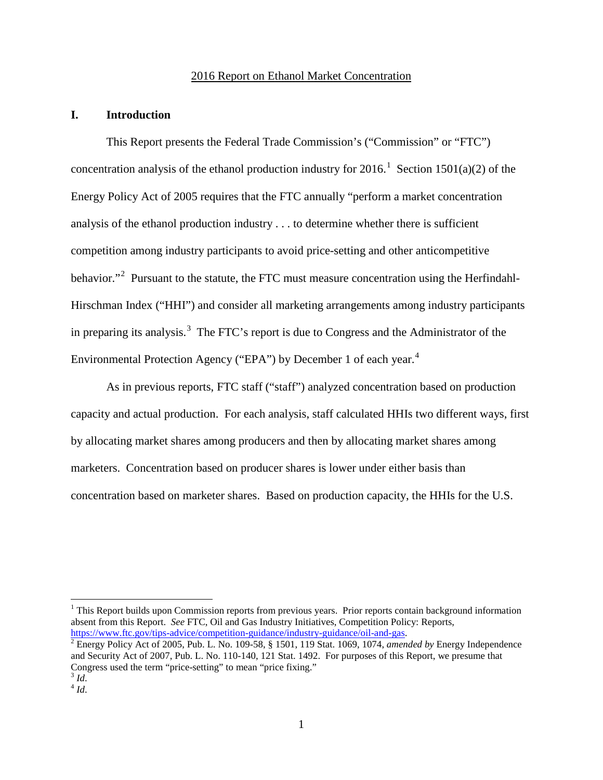## 2016 Report on Ethanol Market Concentration

## **I. Introduction**

This Report presents the Federal Trade Commission's ("Commission" or "FTC") concentration analysis of the ethanol production industry for 20[1](#page-0-0)6.<sup>1</sup> Section 1501(a)(2) of the Energy Policy Act of 2005 requires that the FTC annually "perform a market concentration analysis of the ethanol production industry . . . to determine whether there is sufficient competition among industry participants to avoid price-setting and other anticompetitive behavior."<sup>[2](#page-0-1)</sup> Pursuant to the statute, the FTC must measure concentration using the Herfindahl-Hirschman Index ("HHI") and consider all marketing arrangements among industry participants in preparing its analysis.<sup>[3](#page-0-2)</sup> The FTC's report is due to Congress and the Administrator of the Environmental Protection Agency ("EPA") by December 1 of each year.<sup>[4](#page-0-3)</sup>

As in previous reports, FTC staff ("staff") analyzed concentration based on production capacity and actual production. For each analysis, staff calculated HHIs two different ways, first by allocating market shares among producers and then by allocating market shares among marketers. Concentration based on producer shares is lower under either basis than concentration based on marketer shares. Based on production capacity, the HHIs for the U.S.

<span id="page-0-0"></span> $<sup>1</sup>$  This Report builds upon Commission reports from previous years. Prior reports contain background information</sup> absent from this Report. *See* FTC, Oil and Gas Industry Initiatives, Competition Policy: Reports, https://www.ftc.gov/tips-advice/competition-guidance/industry-guidance/oil-and-gas.

<span id="page-0-1"></span><sup>&</sup>lt;sup>2</sup> Energy Policy Act of 2005, Pub. L. No. 109-58, § 1501, 119 Stat. 1069, 1074, *amended by* Energy Independence and Security Act of 2007, Pub. L. No. 110-140, 121 Stat. 1492. For purposes of this Report, we presume that Congress used the term "price-setting" to mean "price fixing."<br><sup>3</sup> *Id*. 4 *Id*.

<span id="page-0-3"></span><span id="page-0-2"></span>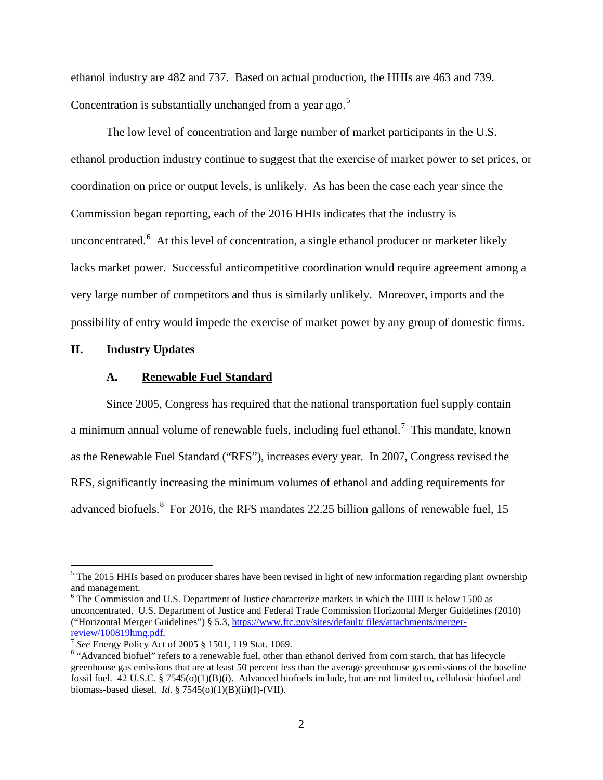ethanol industry are 482 and 737. Based on actual production, the HHIs are 463 and 739. Concentration is substantially unchanged from a year ago.<sup>[5](#page-1-0)</sup>

The low level of concentration and large number of market participants in the U.S. ethanol production industry continue to suggest that the exercise of market power to set prices, or coordination on price or output levels, is unlikely. As has been the case each year since the Commission began reporting, each of the 2016 HHIs indicates that the industry is unconcentrated.<sup>[6](#page-1-1)</sup> At this level of concentration, a single ethanol producer or marketer likely lacks market power. Successful anticompetitive coordination would require agreement among a very large number of competitors and thus is similarly unlikely. Moreover, imports and the possibility of entry would impede the exercise of market power by any group of domestic firms.

### **II. Industry Updates**

### **A. Renewable Fuel Standard**

Since 2005, Congress has required that the national transportation fuel supply contain a minimum annual volume of renewable fuels, including fuel ethanol.<sup>[7](#page-1-2)</sup> This mandate, known as the Renewable Fuel Standard ("RFS"), increases every year. In 2007, Congress revised the RFS, significantly increasing the minimum volumes of ethanol and adding requirements for advanced biofuels. <sup>[8](#page-1-3)</sup> For 2016, the RFS mandates 22.25 billion gallons of renewable fuel, 15

<span id="page-1-0"></span><sup>&</sup>lt;sup>5</sup> The 2015 HHIs based on producer shares have been revised in light of new information regarding plant ownership and management.

<span id="page-1-1"></span><sup>&</sup>lt;sup>6</sup> The Commission and U.S. Department of Justice characterize markets in which the HHI is below 1500 as unconcentrated. U.S. Department of Justice and Federal Trade Commission Horizontal Merger Guidelines (2010) ("Horizontal Merger Guidelines") § 5.3, https://www.ftc.gov/sites/default/ files/attachments/merger-<br>review/100819hmg.pdf.

<span id="page-1-3"></span><span id="page-1-2"></span><sup>&</sup>lt;sup>7</sup> See Energy Policy Act of 2005 § 1501, 119 Stat. 1069. 8 "Advanced biofuel" refers to a renewable fuel, other than ethanol derived from corn starch, that has lifecycle greenhouse gas emissions that are at least 50 percent less than the average greenhouse gas emissions of the baseline fossil fuel. 42 U.S.C. § 7545(o)(1)(B)(i). Advanced biofuels include, but are not limited to, cellulosic biofuel and biomass-based diesel. *Id*. § 7545(o)(1)(B)(ii)(I)-(VII).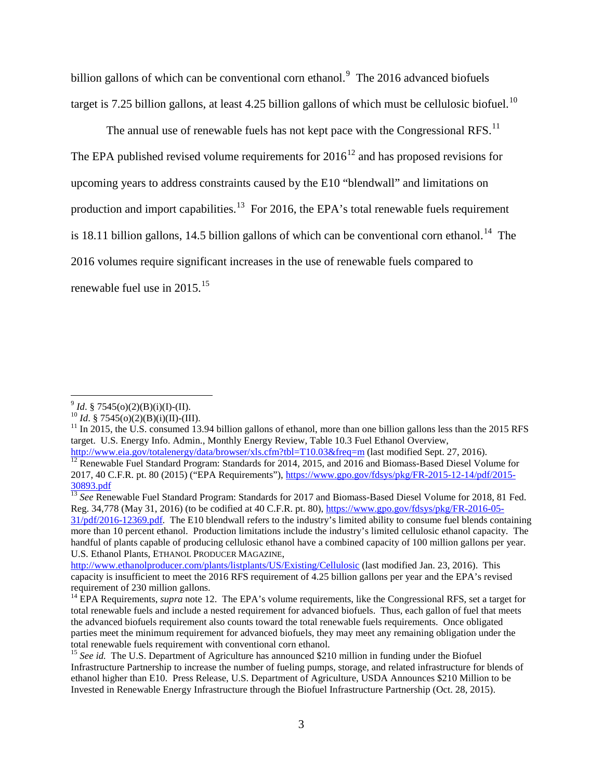billion gallons of which can be conventional corn ethanol.<sup>[9](#page-2-0)</sup> The 2016 advanced biofuels target is 7.25 billion gallons, at least 4.25 billion gallons of which must be cellulosic biofuel.<sup>10</sup>

The annual use of renewable fuels has not kept pace with the Congressional RFS.<sup>11</sup> The EPA published revised volume requirements for  $2016^{12}$  $2016^{12}$  $2016^{12}$  and has proposed revisions for upcoming years to address constraints caused by the E10 "blendwall" and limitations on production and import capabilities.<sup>13</sup> For 2016, the EPA's total renewable fuels requirement is 18.11 billion gallons, 14.5 billion gallons of which can be conventional corn ethanol.<sup>14</sup> The 2016 volumes require significant increases in the use of renewable fuels compared to renewable fuel use in 2015.<sup>15</sup>

<span id="page-2-1"></span><span id="page-2-0"></span>

<span id="page-2-2"></span>

<sup>&</sup>lt;sup>9</sup> *Id.* § 7545(o)(2)(B)(i)(I)-(II).<br><sup>10</sup> *Id.* § 7545(o)(2)(B)(i)(II)-(III).<br><sup>11</sup> In 2015, the U.S. consumed 13.94 billion gallons of ethanol, more than one billion gallons less than the 2015 RFS target. U.S. Energy Info. Admin., Monthly Energy Review, Table 10.3 Fuel Ethanol Overview,<br>http://www.eia.gov/totalenergy/data/browser/xls.cfm?tbl=T10.03&freq=m (last modified Sept. 27, 2016).

<span id="page-2-3"></span> $\frac{12}{12}$  Renewable Fuel Standard Program: Standards for 2014, 2015, and 2016 and Biomass-Based Diesel Volume for 2017, 40 C.F.R. pt. 80 (2015) ("EPA Requirements"), [https://www.gpo.gov/fdsys/pkg/FR-2015-12-14/pdf/2015-](https://www.gpo.gov/fdsys/pkg/FR-2015-12-14/pdf/2015-30893.pdf) [30893.pdf](https://www.gpo.gov/fdsys/pkg/FR-2015-12-14/pdf/2015-30893.pdf)

<span id="page-2-4"></span><sup>&</sup>lt;sup>13</sup> See Renewable Fuel Standard Program: Standards for 2017 and Biomass-Based Diesel Volume for 2018, 81 Fed. Reg. 34,778 (May 31, 2016) (to be codified at 40 C.F.R. pt. 80), [https://www.gpo.gov/fdsys/pkg/FR-2016-05-](https://www.gpo.gov/fdsys/pkg/FR-2016-05-31/pdf/2016-12369.pdf) [31/pdf/2016-12369.pdf.](https://www.gpo.gov/fdsys/pkg/FR-2016-05-31/pdf/2016-12369.pdf) The E10 blendwall refers to the industry's limited ability to consume fuel blends containing more than 10 percent ethanol. Production limitations include the industry's limited cellulosic ethanol capacity. The handful of plants capable of producing cellulosic ethanol have a combined capacity of 100 million gallons per year. U.S. Ethanol Plants, ETHANOL PRODUCER MAGAZINE,

<http://www.ethanolproducer.com/plants/listplants/US/Existing/Cellulosic> (last modified Jan. 23, 2016). This capacity is insufficient to meet the 2016 RFS requirement of 4.25 billion gallons per year and the EPA's revised

<span id="page-2-5"></span><sup>&</sup>lt;sup>14</sup> EPA Requirements, *supra* note 12. The EPA's volume requirements, like the Congressional RFS, set a target for total renewable fuels and include a nested requirement for advanced biofuels. Thus, each gallon of fuel that meets the advanced biofuels requirement also counts toward the total renewable fuels requirements. Once obligated parties meet the minimum requirement for advanced biofuels, they may meet any remaining obligation under the total renewable fuels requirement with conventional corn ethanol.

<span id="page-2-6"></span><sup>&</sup>lt;sup>15</sup> See id. The U.S. Department of Agriculture has announced \$210 million in funding under the Biofuel Infrastructure Partnership to increase the number of fueling pumps, storage, and related infrastructure for blends of ethanol higher than E10. Press Release, U.S. Department of Agriculture, USDA Announces \$210 Million to be Invested in Renewable Energy Infrastructure through the Biofuel Infrastructure Partnership (Oct. 28, 2015).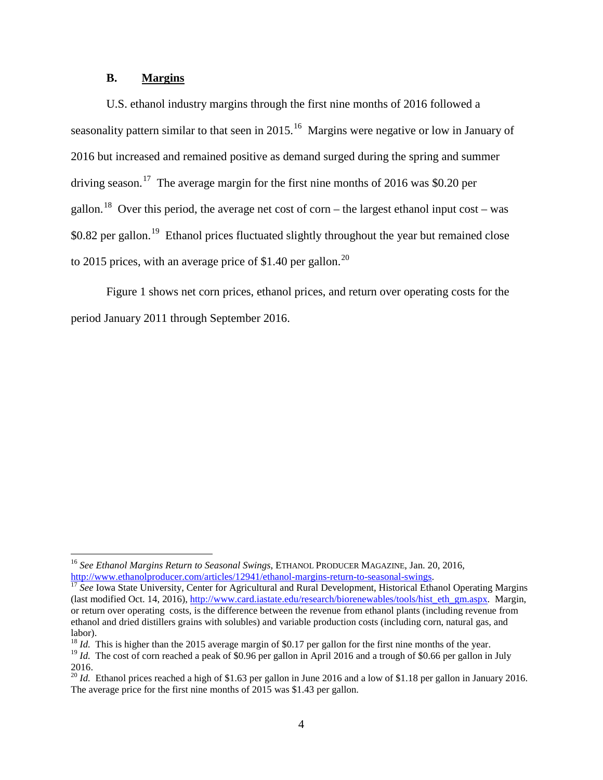# **B. Margins**

U.S. ethanol industry margins through the first nine months of 2016 followed a seasonality pattern similar to that seen in 2015.<sup>16</sup> Margins were negative or low in January of 2016 but increased and remained positive as demand surged during the spring and summer driving season.<sup>[17](#page-3-1)</sup> The average margin for the first nine months of 2016 was \$0.20 per gallon.<sup>[18](#page-3-2)</sup> Over this period, the average net cost of corn – the largest ethanol input cost – was  $$0.82$  per gallon.<sup>[19](#page-3-3)</sup> Ethanol prices fluctuated slightly throughout the year but remained close to 2015 prices, with an average price of \$1.40 per gallon.<sup>20</sup>

Figure 1 shows net corn prices, ethanol prices, and return over operating costs for the period January 2011 through September 2016.

<span id="page-3-0"></span> <sup>16</sup> *See Ethanol Margins Return to Seasonal Swings*, ETHANOL PRODUCER MAGAZINE, Jan. 20, 2016, [http://www.ethanolproducer.com/articles/12941/ethanol-margins-return-to-seasonal-swings.](http://www.ethanolproducer.com/articles/12941/ethanol-margins-return-to-seasonal-swings) [17](http://www.ethanolproducer.com/articles/12941/ethanol-margins-return-to-seasonal-swings) *See* Iowa State University, Center for Agricultural and Rural Development, Historical Ethanol Operating Margins

<span id="page-3-1"></span><sup>(</sup>last modified Oct. 14, 2016), [http://www.card.iastate.edu/research/biorenewables/tools/hist\\_eth\\_gm.aspx.](http://www.card.iastate.edu/research/biorenewables/tools/hist_eth_gm.aspx) Margin, or return over operating costs, is the difference between the revenue from ethanol plants (including revenue from ethanol and dried distillers grains with solubles) and variable production costs (including corn, natural gas, and labor).<br><sup>18</sup> *Id.* This is higher than the 2015 average margin of \$0.17 per gallon for the first nine months of the year.

<span id="page-3-2"></span>

<span id="page-3-3"></span><sup>&</sup>lt;sup>19</sup> *Id.* The cost of corn reached a peak of \$0.96 per gallon in April 2016 and a trough of \$0.66 per gallon in July 2016.

<span id="page-3-4"></span><sup>&</sup>lt;sup>20</sup> *Id.* Ethanol prices reached a high of \$1.63 per gallon in June 2016 and a low of \$1.18 per gallon in January 2016. The average price for the first nine months of 2015 was \$1.43 per gallon.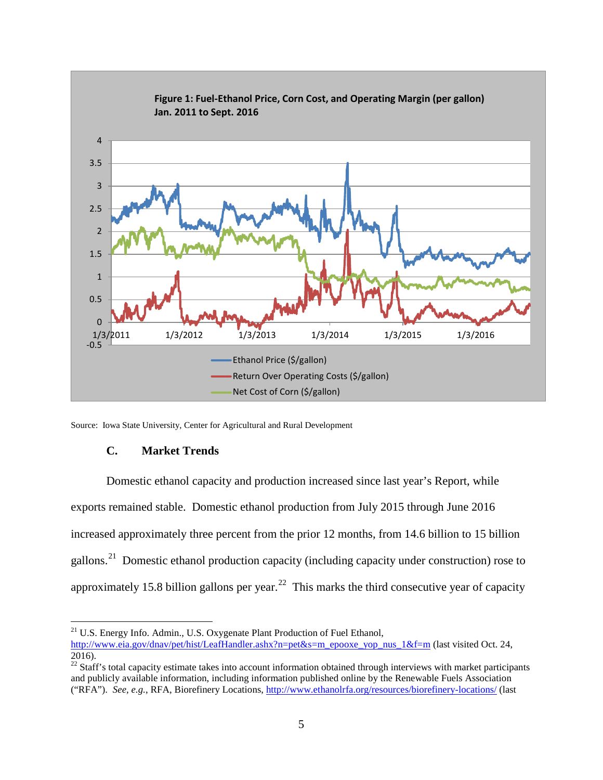

Source: Iowa State University, Center for Agricultural and Rural Development

## **C. Market Trends**

Domestic ethanol capacity and production increased since last year's Report, while exports remained stable. Domestic ethanol production from July 2015 through June 2016 increased approximately three percent from the prior 12 months, from 14.6 billion to 15 billion gallons.<sup>[21](#page-4-0)</sup> Domestic ethanol production capacity (including capacity under construction) rose to approximately 15.8 billion gallons per year.<sup>[22](#page-4-1)</sup> This marks the third consecutive year of capacity

<span id="page-4-0"></span><sup>&</sup>lt;sup>21</sup> U.S. Energy Info. Admin., U.S. Oxygenate Plant Production of Fuel Ethanol, [http://www.eia.gov/dnav/pet/hist/LeafHandler.ashx?n=pet&s=m\\_epooxe\\_yop\\_nus\\_1&f=m](http://www.eia.gov/dnav/pet/hist/LeafHandler.ashx?n=pet&s=m_epooxe_yop_nus_1&f=m) (last visited Oct. 24, 2016).

<span id="page-4-1"></span> $22$  Staff's total capacity estimate takes into account information obtained through interviews with market participants and publicly available information, including information published online by the Renewable Fuels Association ("RFA"). *See, e.g.*, RFA, Biorefinery Locations,<http://www.ethanolrfa.org/resources/biorefinery-locations/> (last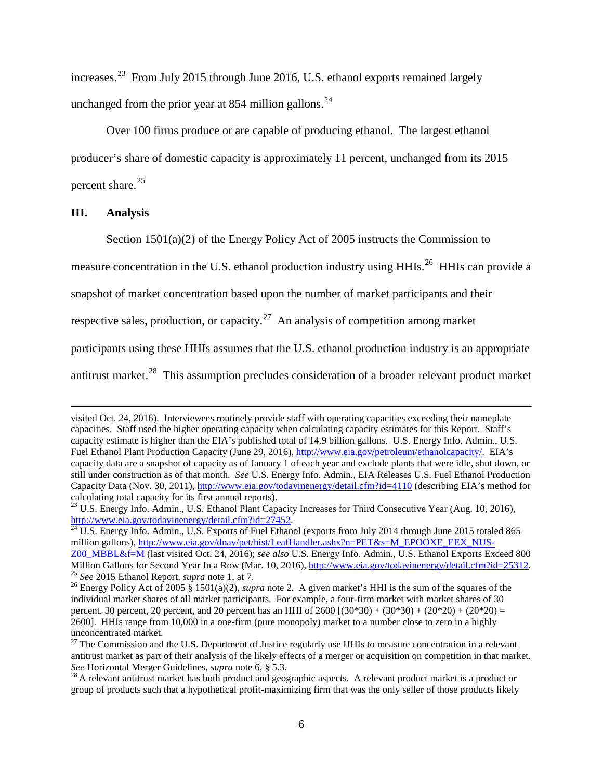increases.[23](#page-5-0) From July 2015 through June 2016, U.S. ethanol exports remained largely unchanged from the prior year at 854 million gallons.<sup>24</sup>

Over 100 firms produce or are capable of producing ethanol. The largest ethanol producer's share of domestic capacity is approximately 11 percent, unchanged from its 2015 percent share. [25](#page-5-2)

#### **III. Analysis**

 $\overline{a}$ 

Section 1501(a)(2) of the Energy Policy Act of 2005 instructs the Commission to

measure concentration in the U.S. ethanol production industry using HHIs.<sup>26</sup> HHIs can provide a

snapshot of market concentration based upon the number of market participants and their

respective sales, production, or capacity.<sup>27</sup> An analysis of competition among market

participants using these HHIs assumes that the U.S. ethanol production industry is an appropriate

antitrust market.<sup>[28](#page-5-5)</sup> This assumption precludes consideration of a broader relevant product market

visited Oct. 24, 2016). Interviewees routinely provide staff with operating capacities exceeding their nameplate capacities. Staff used the higher operating capacity when calculating capacity estimates for this Report. Staff's capacity estimate is higher than the EIA's published total of 14.9 billion gallons. U.S. Energy Info. Admin., U.S. Fuel Ethanol Plant Production Capacity (June 29, 2016), [http://www.eia.gov/petroleum/ethanolcapacity/.](http://www.eia.gov/petroleum/ethanolcapacity/) EIA's capacity data are a snapshot of capacity as of January 1 of each year and exclude plants that were idle, shut down, or still under construction as of that month. *See* U.S. Energy Info. Admin., EIA Releases U.S. Fuel Ethanol Production Capacity Data (Nov. 30, 2011),<http://www.eia.gov/todayinenergy/detail.cfm?id=4110> (describing EIA's method for calculating total capacity for its first annual reports).

<span id="page-5-0"></span><sup>&</sup>lt;sup>23</sup> U.S. Energy Info. Admin., U.S. Ethanol Plant Capacity Increases for Third Consecutive Year (Aug. 10, 2016), http://www.eia.gov/todayinenergy/detail.cfm?id=27452.

<span id="page-5-1"></span> $\frac{1}{24}$  $\frac{1}{24}$  $\frac{1}{24}$  U.S. Energy Info. Admin., U.S. Exports of Fuel Ethanol (exports from July 2014 through June 2015 totaled 865 million gallons), [http://www.eia.gov/dnav/pet/hist/LeafHandler.ashx?n=PET&s=M\\_EPOOXE\\_EEX\\_NUS-](http://www.eia.gov/dnav/pet/hist/LeafHandler.ashx?n=PET&s=M_EPOOXE_EEX_NUS-Z00_MBBL&f=M)[Z00\\_MBBL&f=M](http://www.eia.gov/dnav/pet/hist/LeafHandler.ashx?n=PET&s=M_EPOOXE_EEX_NUS-Z00_MBBL&f=M) (last visited Oct. 24, 2016); *see also* U.S. Energy Info. Admin., U.S. Ethanol Exports Exceed 800 <sup>25</sup> See 2015 Ethanol Report, *supra* note 1, at 7.<br><sup>26</sup> Energy Policy Act of 2005 § 1501(a)(2), *supra* note 2. A given market's HHI is the sum of the squares of the

<span id="page-5-3"></span><span id="page-5-2"></span>individual market shares of all market participants. For example, a four-firm market with market shares of 30 percent, 30 percent, 20 percent, and 20 percent has an HHI of  $2600 [(30*30) + (30*30) + (20*20) + (20*20) =$ 2600]. HHIs range from 10,000 in a one-firm (pure monopoly) market to a number close to zero in a highly unconcentrated market.

<span id="page-5-4"></span> $27$  The Commission and the U.S. Department of Justice regularly use HHIs to measure concentration in a relevant antitrust market as part of their analysis of the likely effects of a merger or acquisition on competition in that market.<br>See Horizontal Merger Guidelines, *supra* note 6, § 5.3.

<span id="page-5-5"></span><sup>&</sup>lt;sup>28</sup> A relevant antitrust market has both product and geographic aspects. A relevant product market is a product or group of products such that a hypothetical profit-maximizing firm that was the only seller of those products likely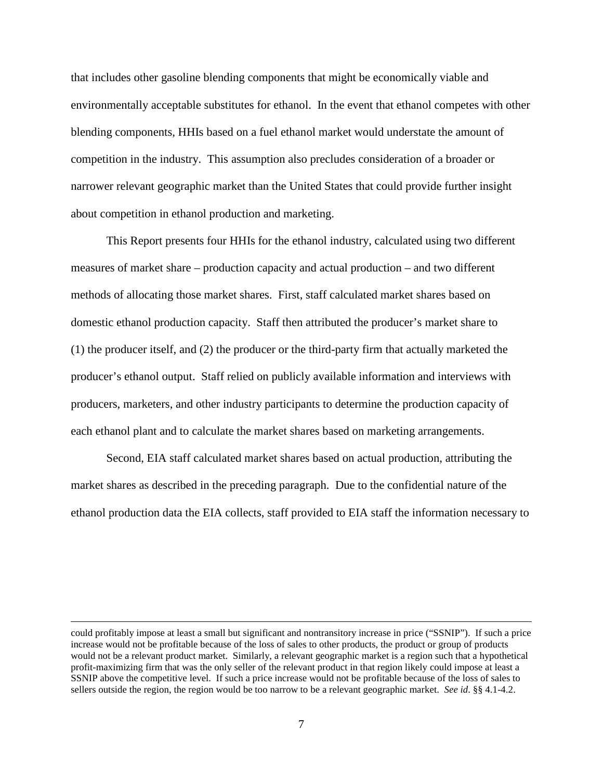that includes other gasoline blending components that might be economically viable and environmentally acceptable substitutes for ethanol. In the event that ethanol competes with other blending components, HHIs based on a fuel ethanol market would understate the amount of competition in the industry. This assumption also precludes consideration of a broader or narrower relevant geographic market than the United States that could provide further insight about competition in ethanol production and marketing.

This Report presents four HHIs for the ethanol industry, calculated using two different measures of market share – production capacity and actual production – and two different methods of allocating those market shares. First, staff calculated market shares based on domestic ethanol production capacity. Staff then attributed the producer's market share to (1) the producer itself, and (2) the producer or the third-party firm that actually marketed the producer's ethanol output. Staff relied on publicly available information and interviews with producers, marketers, and other industry participants to determine the production capacity of each ethanol plant and to calculate the market shares based on marketing arrangements.

Second, EIA staff calculated market shares based on actual production, attributing the market shares as described in the preceding paragraph. Due to the confidential nature of the ethanol production data the EIA collects, staff provided to EIA staff the information necessary to

 $\overline{a}$ 

could profitably impose at least a small but significant and nontransitory increase in price ("SSNIP"). If such a price increase would not be profitable because of the loss of sales to other products, the product or group of products would not be a relevant product market. Similarly, a relevant geographic market is a region such that a hypothetical profit-maximizing firm that was the only seller of the relevant product in that region likely could impose at least a SSNIP above the competitive level. If such a price increase would not be profitable because of the loss of sales to sellers outside the region, the region would be too narrow to be a relevant geographic market. *See id*. §§ 4.1-4.2.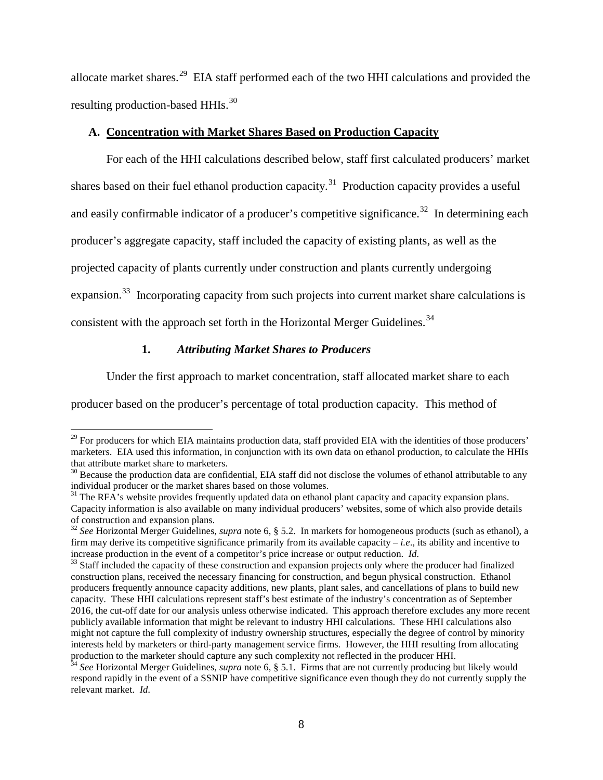allocate market shares.[29](#page-7-0) EIA staff performed each of the two HHI calculations and provided the resulting production-based HHIs.<sup>[30](#page-7-1)</sup>

# **A. Concentration with Market Shares Based on Production Capacity**

For each of the HHI calculations described below, staff first calculated producers' market shares based on their fuel ethanol production capacity.<sup>31</sup> Production capacity provides a useful and easily confirmable indicator of a producer's competitive significance.<sup>32</sup> In determining each producer's aggregate capacity, staff included the capacity of existing plants, as well as the projected capacity of plants currently under construction and plants currently undergoing expansion.<sup>[33](#page-7-4)</sup> Incorporating capacity from such projects into current market share calculations is consistent with the approach set forth in the Horizontal Merger Guidelines.<sup>[34](#page-7-5)</sup>

# **1.** *Attributing Market Shares to Producers*

Under the first approach to market concentration, staff allocated market share to each

producer based on the producer's percentage of total production capacity. This method of

<span id="page-7-0"></span><sup>&</sup>lt;sup>29</sup> For producers for which EIA maintains production data, staff provided EIA with the identities of those producers' marketers. EIA used this information, in conjunction with its own data on ethanol production, to calculate the HHIs that attribute market share to marketers.

<span id="page-7-1"></span> $30$  Because the production data are confidential, EIA staff did not disclose the volumes of ethanol attributable to any individual producer or the market shares based on those volumes.

<span id="page-7-2"></span><sup>&</sup>lt;sup>31</sup> The RFA's website provides frequently updated data on ethanol plant capacity and capacity expansion plans. Capacity information is also available on many individual producers' websites, some of which also provide details

<span id="page-7-3"></span><sup>&</sup>lt;sup>32</sup> See Horizontal Merger Guidelines, *supra* note 6, § 5.2. In markets for homogeneous products (such as ethanol), a firm may derive its competitive significance primarily from its available capacity – *i.e*., its ability and incentive to increase production in the event of a competitor's price increase or output reduction. *Id.* <sup>33</sup> Staff included the capacity of these construction and expansion projects only where the producer had finalized

<span id="page-7-4"></span>construction plans, received the necessary financing for construction, and begun physical construction. Ethanol producers frequently announce capacity additions, new plants, plant sales, and cancellations of plans to build new capacity. These HHI calculations represent staff's best estimate of the industry's concentration as of September 2016, the cut-off date for our analysis unless otherwise indicated. This approach therefore excludes any more recent publicly available information that might be relevant to industry HHI calculations. These HHI calculations also might not capture the full complexity of industry ownership structures, especially the degree of control by minority interests held by marketers or third-party management service firms. However, the HHI resulting from allocating

<span id="page-7-5"></span><sup>&</sup>lt;sup>34</sup> See Horizontal Merger Guidelines, *supra* note 6, § 5.1. Firms that are not currently producing but likely would respond rapidly in the event of a SSNIP have competitive significance even though they do not currently supply the relevant market. *Id.*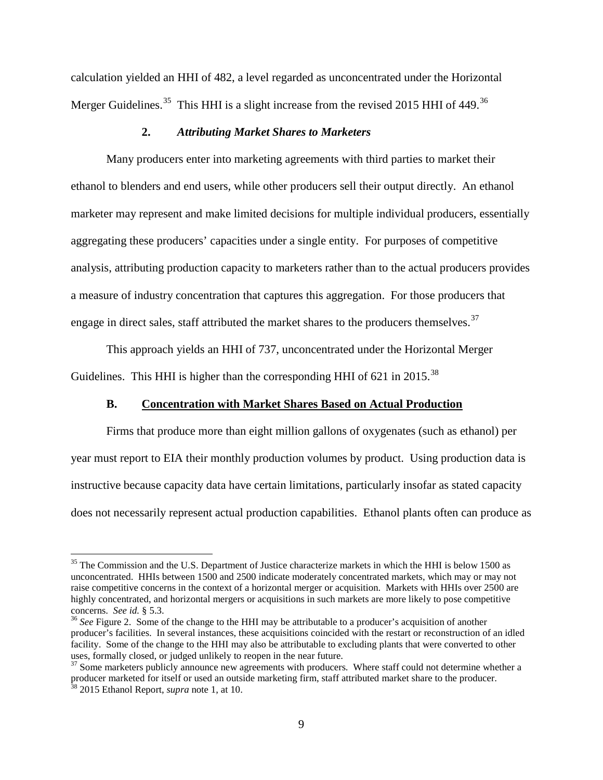calculation yielded an HHI of 482, a level regarded as unconcentrated under the Horizontal Merger Guidelines.<sup>[35](#page-8-0)</sup> This HHI is a slight increase from the revised 2015 HHI of 449.<sup>[36](#page-8-1)</sup>

## **2.** *Attributing Market Shares to Marketers*

Many producers enter into marketing agreements with third parties to market their ethanol to blenders and end users, while other producers sell their output directly. An ethanol marketer may represent and make limited decisions for multiple individual producers, essentially aggregating these producers' capacities under a single entity. For purposes of competitive analysis, attributing production capacity to marketers rather than to the actual producers provides a measure of industry concentration that captures this aggregation. For those producers that engage in direct sales, staff attributed the market shares to the producers themselves.<sup>[37](#page-8-2)</sup>

This approach yields an HHI of 737, unconcentrated under the Horizontal Merger Guidelines. This HHI is higher than the corresponding HHI of 621 in 2015.<sup>[38](#page-8-3)</sup>

## **B. Concentration with Market Shares Based on Actual Production**

Firms that produce more than eight million gallons of oxygenates (such as ethanol) per year must report to EIA their monthly production volumes by product.Using production data is instructive because capacity data have certain limitations, particularly insofar as stated capacity does not necessarily represent actual production capabilities. Ethanol plants often can produce as

<span id="page-8-0"></span><sup>&</sup>lt;sup>35</sup> The Commission and the U.S. Department of Justice characterize markets in which the HHI is below 1500 as unconcentrated. HHIs between 1500 and 2500 indicate moderately concentrated markets, which may or may not raise competitive concerns in the context of a horizontal merger or acquisition. Markets with HHIs over 2500 are highly concentrated, and horizontal mergers or acquisitions in such markets are more likely to pose competitive concerns. See id.  $\S$  5.3.

<span id="page-8-1"></span><sup>&</sup>lt;sup>36</sup> *See* Figure 2. Some of the change to the HHI may be attributable to a producer's acquisition of another producer's facilities. In several instances, these acquisitions coincided with the restart or reconstruction of an idled facility. Some of the change to the HHI may also be attributable to excluding plants that were converted to other uses, formally closed, or judged unlikely to reopen in the near future.

<span id="page-8-3"></span><span id="page-8-2"></span> $37$  Some marketers publicly announce new agreements with producers. Where staff could not determine whether a producer marketed for itself or used an outside marketing firm, staff attributed market share to the producer. <sup>38</sup> 2015 Ethanol Report, *supra* note 1, at 10.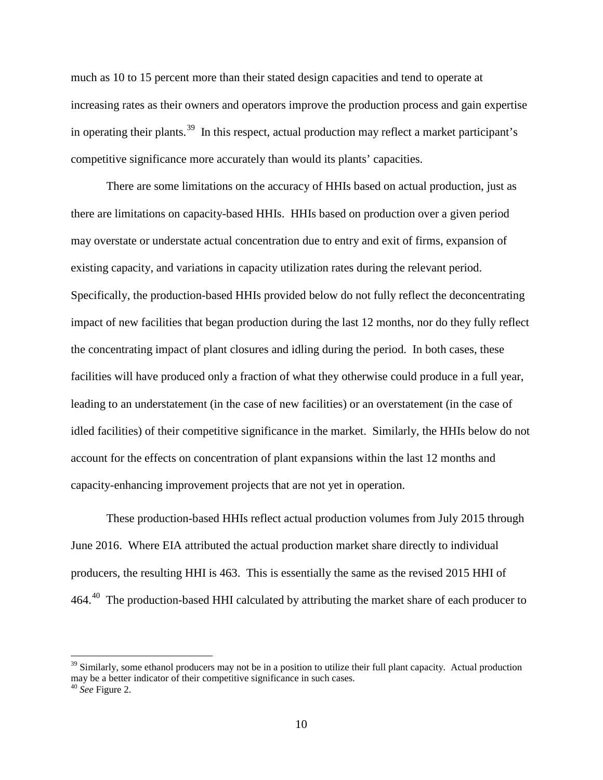much as 10 to 15 percent more than their stated design capacities and tend to operate at increasing rates as their owners and operators improve the production process and gain expertise in operating their plants.<sup>[39](#page-9-0)</sup> In this respect, actual production may reflect a market participant's competitive significance more accurately than would its plants' capacities.

There are some limitations on the accuracy of HHIs based on actual production, just as there are limitations on capacity-based HHIs. HHIs based on production over a given period may overstate or understate actual concentration due to entry and exit of firms, expansion of existing capacity, and variations in capacity utilization rates during the relevant period. Specifically, the production-based HHIs provided below do not fully reflect the deconcentrating impact of new facilities that began production during the last 12 months, nor do they fully reflect the concentrating impact of plant closures and idling during the period. In both cases, these facilities will have produced only a fraction of what they otherwise could produce in a full year, leading to an understatement (in the case of new facilities) or an overstatement (in the case of idled facilities) of their competitive significance in the market. Similarly, the HHIs below do not account for the effects on concentration of plant expansions within the last 12 months and capacity-enhancing improvement projects that are not yet in operation.

These production-based HHIs reflect actual production volumes from July 2015 through June 2016. Where EIA attributed the actual production market share directly to individual producers, the resulting HHI is 463. This is essentially the same as the revised 2015 HHI of 464.<sup>40</sup> The production-based HHI calculated by attributing the market share of each producer to

<span id="page-9-0"></span> $39$  Similarly, some ethanol producers may not be in a position to utilize their full plant capacity. Actual production may be a better indicator of their competitive significance in such cases.

<span id="page-9-1"></span><sup>40</sup> *See* Figure 2.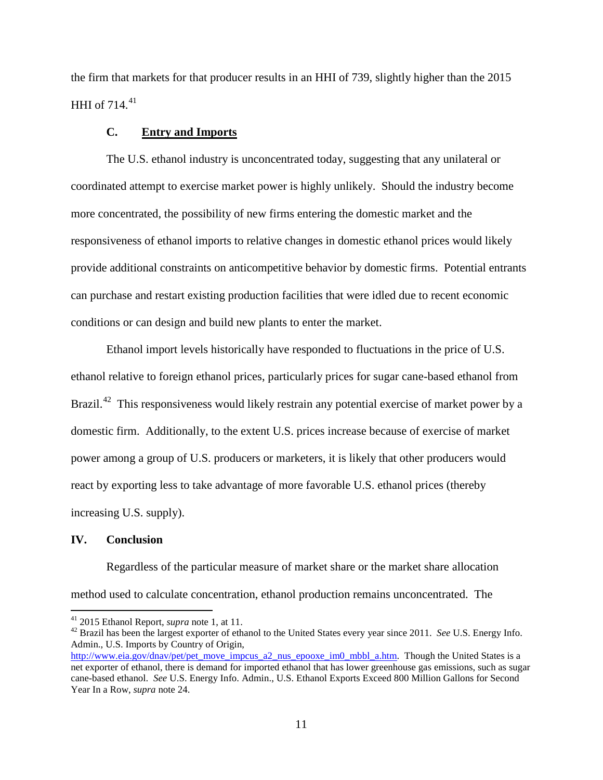the firm that markets for that producer results in an HHI of 739, slightly higher than the 2015 HHI of 714. [41](#page-10-0)

### **C. Entry and Imports**

The U.S. ethanol industry is unconcentrated today, suggesting that any unilateral or coordinated attempt to exercise market power is highly unlikely. Should the industry become more concentrated, the possibility of new firms entering the domestic market and the responsiveness of ethanol imports to relative changes in domestic ethanol prices would likely provide additional constraints on anticompetitive behavior by domestic firms. Potential entrants can purchase and restart existing production facilities that were idled due to recent economic conditions or can design and build new plants to enter the market.

Ethanol import levels historically have responded to fluctuations in the price of U.S. ethanol relative to foreign ethanol prices, particularly prices for sugar cane-based ethanol from Brazil.<sup>[42](#page-10-1)</sup> This responsiveness would likely restrain any potential exercise of market power by a domestic firm. Additionally, to the extent U.S. prices increase because of exercise of market power among a group of U.S. producers or marketers, it is likely that other producers would react by exporting less to take advantage of more favorable U.S. ethanol prices (thereby increasing U.S. supply).

### **IV. Conclusion**

Regardless of the particular measure of market share or the market share allocation method used to calculate concentration, ethanol production remains unconcentrated. The

<span id="page-10-1"></span><span id="page-10-0"></span><sup>&</sup>lt;sup>41</sup> 2015 Ethanol Report, *supra* note 1, at 11.<br><sup>42</sup> Brazil has been the largest exporter of ethanol to the United States every year since 2011. *See* U.S. Energy Info. Admin., U.S. Imports by Country of Origin,

[http://www.eia.gov/dnav/pet/pet\\_move\\_impcus\\_a2\\_nus\\_epooxe\\_im0\\_mbbl\\_a.htm.](http://www.eia.gov/dnav/pet/pet_move_impcus_a2_nus_epooxe_im0_mbbl_a.htm) Though the United States is a net exporter of ethanol, there is demand for imported ethanol that has lower greenhouse gas emissions, such as sugar cane-based ethanol. *See* U.S. Energy Info. Admin., U.S. Ethanol Exports Exceed 800 Million Gallons for Second Year In a Row, *supra* note 24.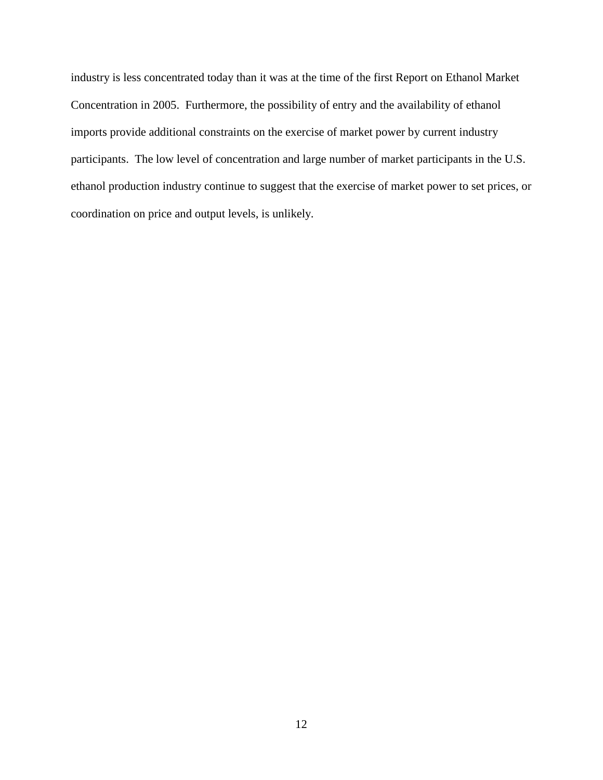industry is less concentrated today than it was at the time of the first Report on Ethanol Market Concentration in 2005. Furthermore, the possibility of entry and the availability of ethanol imports provide additional constraints on the exercise of market power by current industry participants. The low level of concentration and large number of market participants in the U.S. ethanol production industry continue to suggest that the exercise of market power to set prices, or coordination on price and output levels, is unlikely.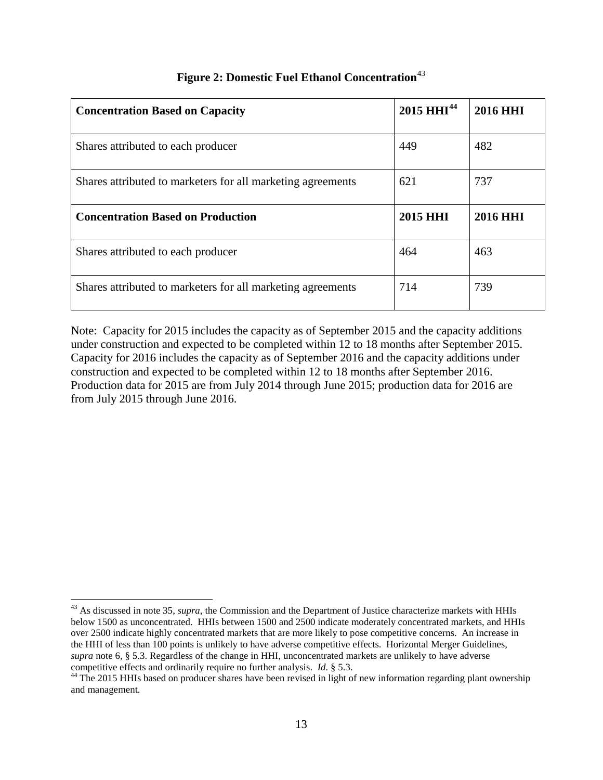| <b>Concentration Based on Capacity</b>                      | $2015$ HHI <sup>44</sup> | <b>2016 HHI</b> |
|-------------------------------------------------------------|--------------------------|-----------------|
| Shares attributed to each producer                          | 449                      | 482             |
| Shares attributed to marketers for all marketing agreements | 621                      | 737             |
| <b>Concentration Based on Production</b>                    | 2015 HHI                 | <b>2016 HHI</b> |
| Shares attributed to each producer                          | 464                      | 463             |
| Shares attributed to marketers for all marketing agreements | 714                      | 739             |

# **Figure 2: Domestic Fuel Ethanol Concentration**<sup>[43](#page-12-0)</sup>

Note: Capacity for 2015 includes the capacity as of September 2015 and the capacity additions under construction and expected to be completed within 12 to 18 months after September 2015. Capacity for 2016 includes the capacity as of September 2016 and the capacity additions under construction and expected to be completed within 12 to 18 months after September 2016. Production data for 2015 are from July 2014 through June 2015; production data for 2016 are from July 2015 through June 2016.

<span id="page-12-0"></span><sup>&</sup>lt;sup>43</sup> As discussed in note 35, *supra*, the Commission and the Department of Justice characterize markets with HHIs below 1500 as unconcentrated. HHIs between 1500 and 2500 indicate moderately concentrated markets, and HHIs over 2500 indicate highly concentrated markets that are more likely to pose competitive concerns. An increase in the HHI of less than 100 points is unlikely to have adverse competitive effects. Horizontal Merger Guidelines, *supra* note 6, § 5.3. Regardless of the change in HHI, unconcentrated markets are unlikely to have adverse

<span id="page-12-1"></span>competitive effects and ordinarily require no further analysis. *Id.* § 5.3.<br><sup>44</sup> The 2015 HHIs based on producer shares have been revised in light of new information regarding plant ownership and management.